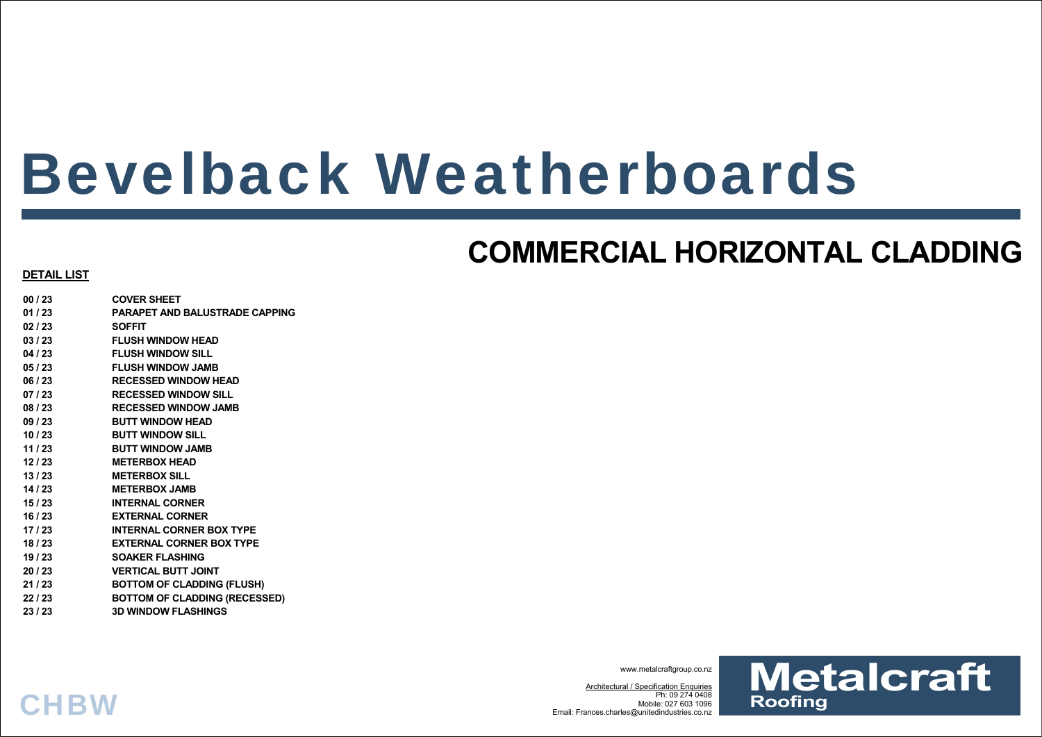# Bevelback Weatherboards

## **COMMERCIAL HORIZONTAL CLADDING**

### **DETAIL LIST**

- **00 / 23 COVER SHEET 01 / 23 PARAPET AND BALUSTRADE CAPPING 02 / 23 SOFFIT 03 / 23 FLUSH WINDOW HEAD 04 / 23 FLUSH WINDOW SILL 05 / 23 FLUSH WINDOW JAMB 06 / 23 RECESSED WINDOW HEAD 07 / 23 RECESSED WINDOW SILL 08 / 23 RECESSED WINDOW JAMB 09 / 23 BUTT WINDOW HEAD 10 / 23 BUTT WINDOW SILL 11 / 23 BUTT WINDOW JAMB 12 / 23 METERBOX HEAD 13 / 23 METERBOX SILL 14 / 23 METERBOX JAMB 15 / 23 INTERNAL CORNER 16 / 23 EXTERNAL CORNER 17 / 23 INTERNAL CORNER BOX TYPE 18 / 23 EXTERNAL CORNER BOX TYPE 19 / 23 SOAKER FLASHING 20 / 23 VERTICAL BUTT JOINT**
- **21 / 23 BOTTOM OF CLADDING (FLUSH)**
- **22 / 23 BOTTOM OF CLADDING (RECESSED)**
- **23 / 23 3D WINDOW FLASHINGS**

**CHBW** 

www.metalcraftgroup.co.nz

Architectural / Specification Enquiries Ph: 09 274 0408 Mobile: 027 603 1096Email: Frances.charles@unitedindustries.co.nz

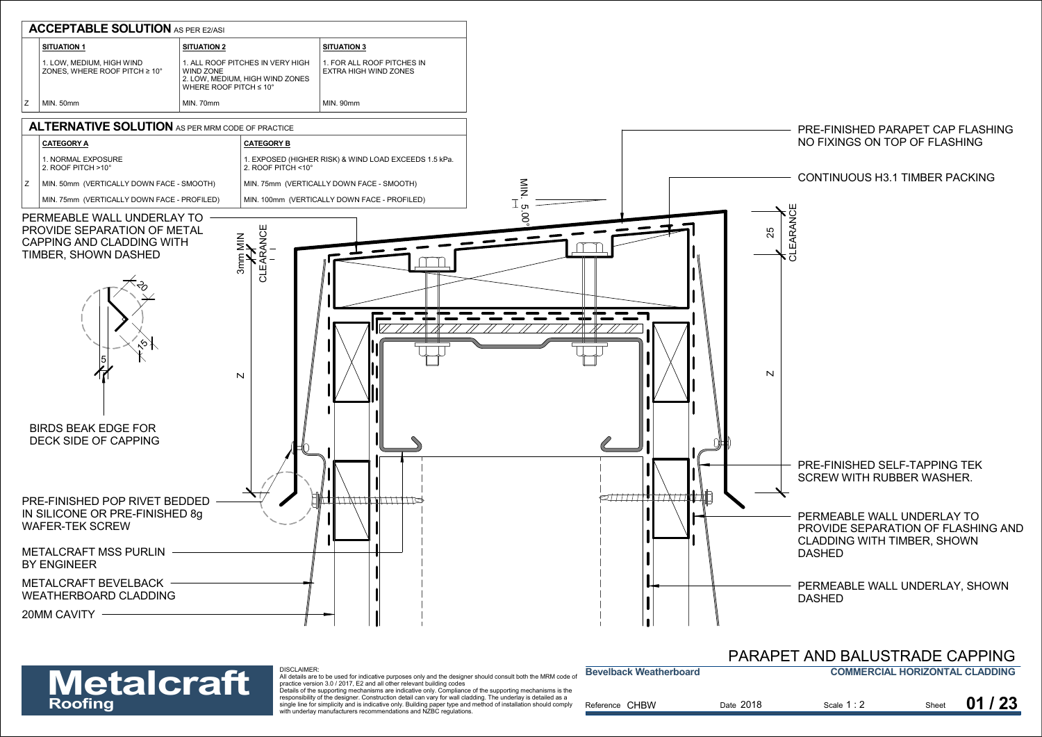

### **COMMERCIAL HORIZONTAL CLADDING**PARAPET AND BALUSTRADE CAPPING

| <b>Metalcraft</b> | DISCLAIMER.<br>All details are to be used for indicative purposes only and the designer should consult both the MRM code of<br>practice version 3.0 / 2017. E2 and all other relevant building codes                                                                                                                                                                                                              | <b>Bevelback Weatherboard</b> |           | <b>COMMERCIAL HORIZONTAL CLADDING</b> |       |       |
|-------------------|-------------------------------------------------------------------------------------------------------------------------------------------------------------------------------------------------------------------------------------------------------------------------------------------------------------------------------------------------------------------------------------------------------------------|-------------------------------|-----------|---------------------------------------|-------|-------|
| Roofing           | Details of the supporting mechanisms are indicative only. Compliance of the supporting mechanisms is the<br>responsibility of the designer. Construction detail can vary for wall cladding. The underlay is detailed as a<br>single line for simplicity and is indicative only. Building paper type and method of installation should comply<br>with underlay manufacturers recommendations and NZBC regulations. | Reference CHBW                | Date 2018 | Scale 1:2                             | Sheet | 01/23 |

**Bevelback Weatherboard**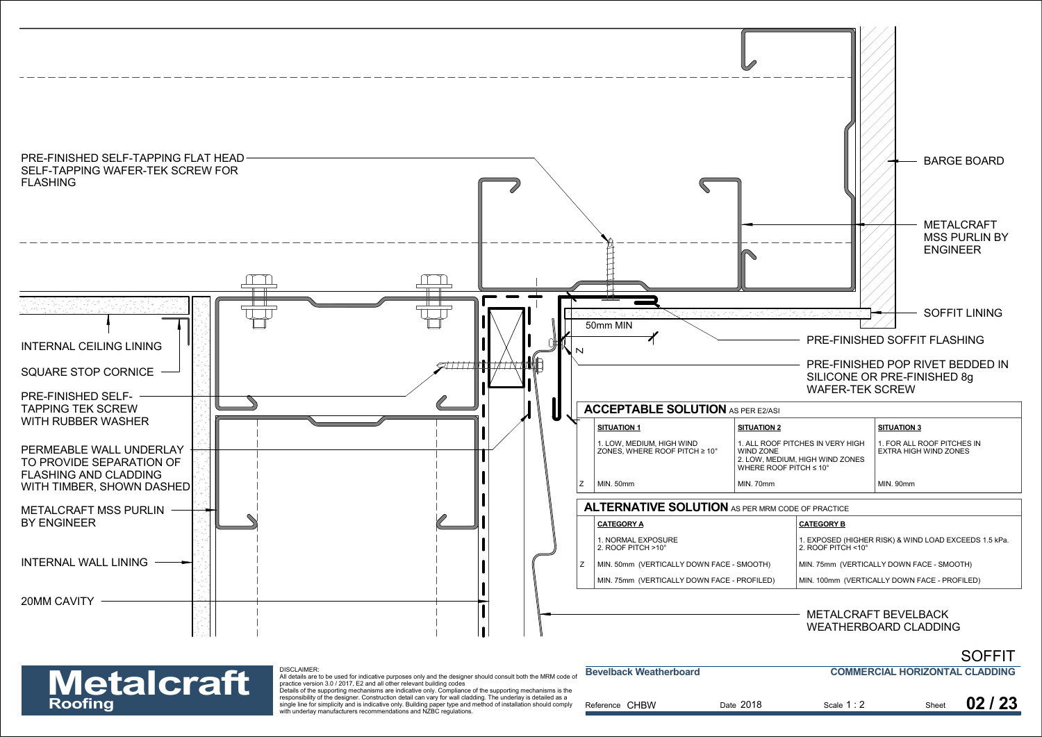

| <b>Metalcraft</b> | DISCLAIMER:<br>All details are to be used for indicative purposes only and the designer should consult both the MRM code of<br>practice version 3.0 / 2017. E2 and all other relevant building codes<br>Details of the supporting mechanisms are indicative only. Compliance of the supporting mechanisms is the | <b>Bevelback Weatherboard</b> |           | <b>COMMERCIAL HORIZONTAL CLADDING</b> |       |       |
|-------------------|------------------------------------------------------------------------------------------------------------------------------------------------------------------------------------------------------------------------------------------------------------------------------------------------------------------|-------------------------------|-----------|---------------------------------------|-------|-------|
| Roofing           | responsibility of the designer. Construction detail can vary for wall cladding. The underlay is detailed as a<br>single line for simplicity and is indicative only. Building paper type and method of installation should comply<br>with underlay manufacturers recommendations and NZBC regulations.            | Reference CHBW                | Date 2018 | Scale 1:2                             | Sheet | 02/23 |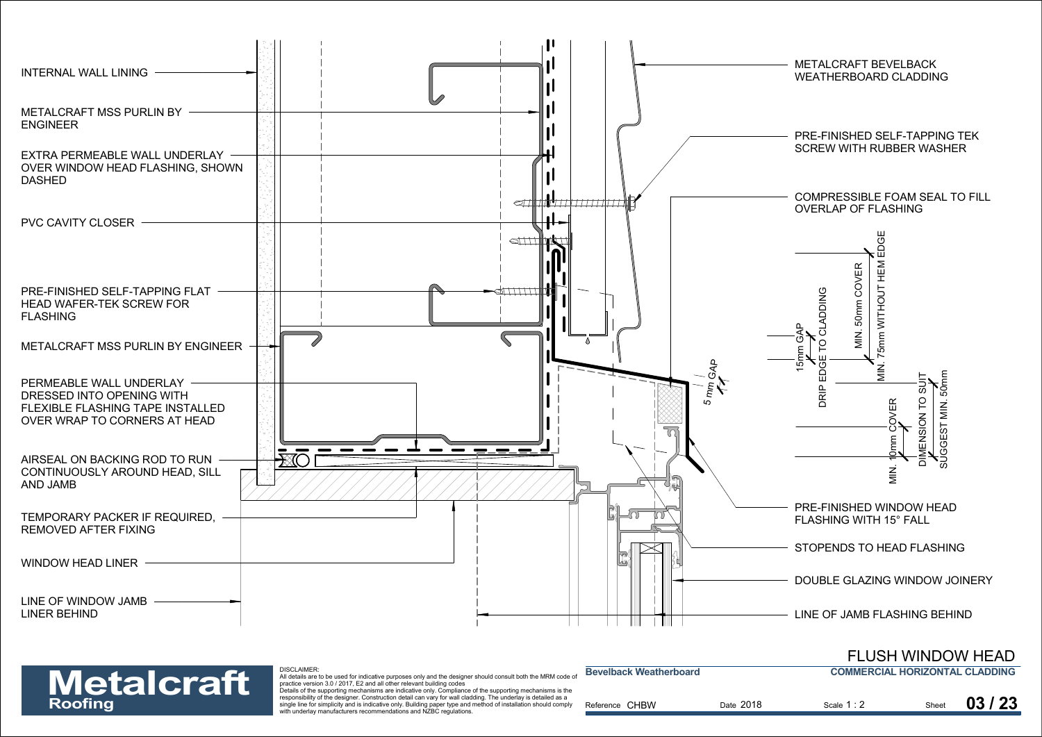

**COMMERCIAL HORIZONTAL CLADDING**FLUSH WINDOW HEAD

| <b>Metalcraft</b> | DISCLAIMER:<br>All details are to be used for indicative purposes only and the designer should consult both the MRM code of<br>practice version 3.0 / 2017. E2 and all other relevant building codes<br>Details of the supporting mechanisms are indicative only. Compliance of the supporting mechanisms is the | <b>Bevelback Weatherboard</b> |           | <b>COMMERCIAL HORIZONTAL CLADDING</b> |       |       |
|-------------------|------------------------------------------------------------------------------------------------------------------------------------------------------------------------------------------------------------------------------------------------------------------------------------------------------------------|-------------------------------|-----------|---------------------------------------|-------|-------|
| Roofing           | responsibility of the designer. Construction detail can vary for wall cladding. The underlay is detailed as a<br>single line for simplicity and is indicative only. Building paper type and method of installation should comply<br>with underlay manufacturers recommendations and NZBC regulations.            | Reference CHBW                | Date 2018 | Scale 1:2                             | Sheet | 03/23 |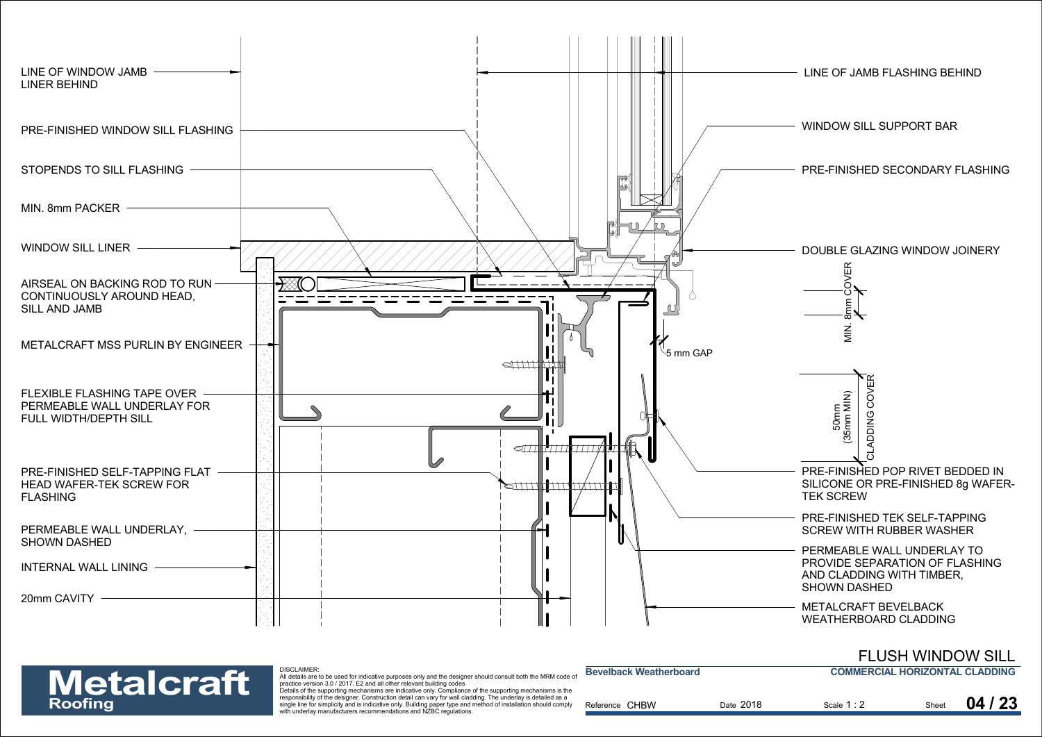

### FLUSH WINDOW SILL

**COMMERCIAL HORIZONTAL CLADDING**

| <b>Metalcraft</b> |  |
|-------------------|--|
| <b>Roofing</b>    |  |

DISCLAIMER:

| <b>Metalcraft</b> | <b>DISCLAIMER:</b><br>All details are to be used for indicative purposes only and the designer should consult both the MRM code of<br>practice version 3.0 / 2017, E2 and all other relevant building codes                                                                                                                                                                                                       | <b>Bevelback Weatherboard</b> |           | <b>COMMERCIAL HORIZONTAL CLADDING</b> |       |       |
|-------------------|-------------------------------------------------------------------------------------------------------------------------------------------------------------------------------------------------------------------------------------------------------------------------------------------------------------------------------------------------------------------------------------------------------------------|-------------------------------|-----------|---------------------------------------|-------|-------|
| Roofing           | Details of the supporting mechanisms are indicative only. Compliance of the supporting mechanisms is the<br>responsibility of the designer. Construction detail can vary for wall cladding. The underlay is detailed as a<br>single line for simplicity and is indicative only. Building paper type and method of installation should comply<br>with underlay manufacturers recommendations and NZBC regulations. | Reference CHBW                | Date 2018 | Scale 1:2                             | Sheet | 04/23 |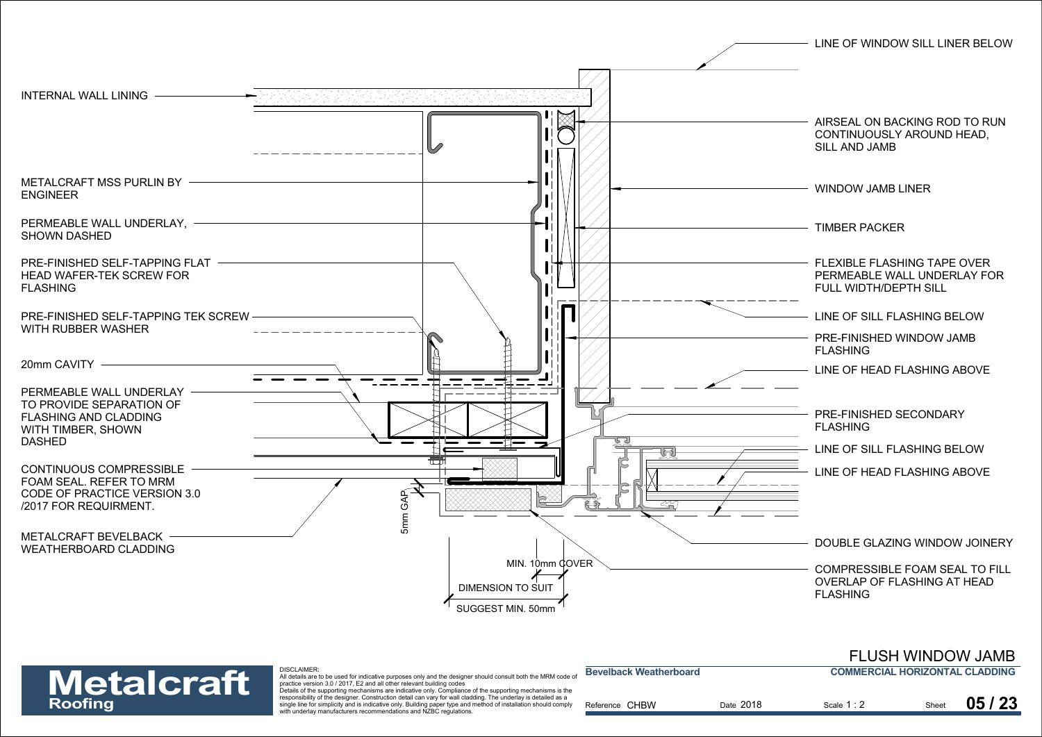



### DISCLAIMER:

| <b>Metalcraft</b> | DISCLAIMER.<br>All details are to be used for indicative purposes only and the designer should consult both the MRM code of<br>practice version 3.0 / 2017. E2 and all other relevant building codes<br>Details of the supporting mechanisms are indicative only. Compliance of the supporting mechanisms is the | <b>Bevelback Weatherboard</b> |           | <b>COMMERCIAL HORIZONTAL CLADDING</b> |       |       |
|-------------------|------------------------------------------------------------------------------------------------------------------------------------------------------------------------------------------------------------------------------------------------------------------------------------------------------------------|-------------------------------|-----------|---------------------------------------|-------|-------|
| Roofing           | responsibility of the designer. Construction detail can vary for wall cladding. The underlay is detailed as a<br>single line for simplicity and is indicative only. Building paper type and method of installation should comply<br>with underlay manufacturers recommendations and NZBC regulations.            | Reference CHBW                | Date 2018 | Scale 1:2                             | Sheet | 05/23 |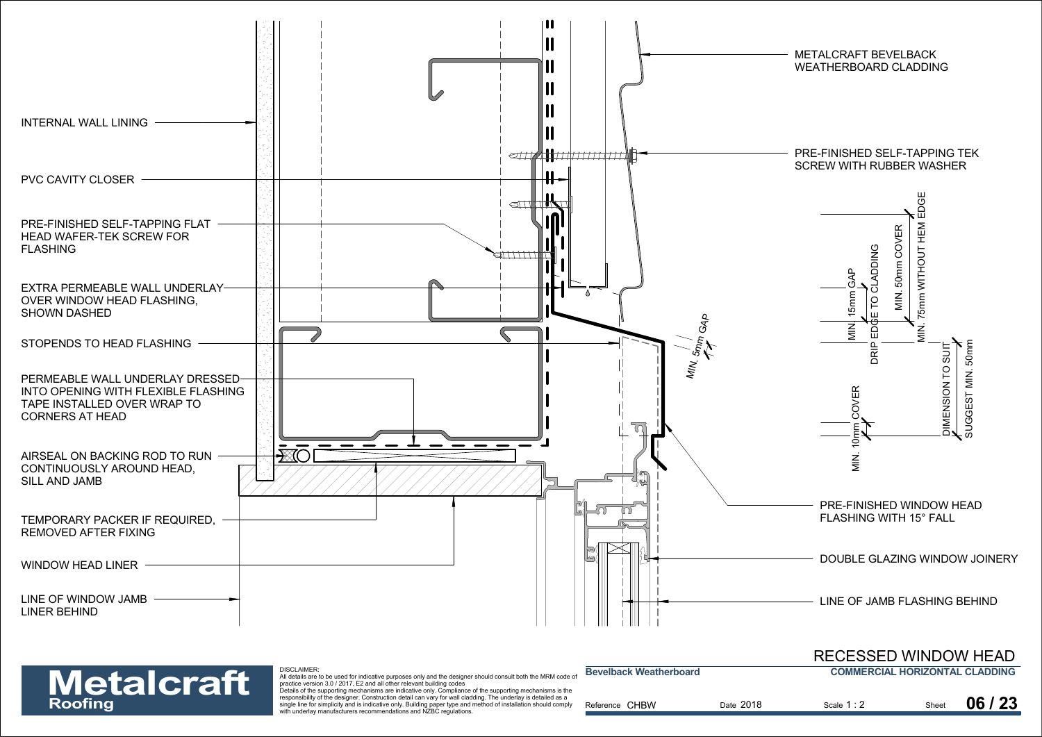

responsibility of the designer. Construction detail can vary for wall cladding. The underlay is detailed as a Expositionly of the designed. Constitution detail can vary for wall cladding, the underling soletailled as a<br>single line for simplicity and is indicative only. Building paper type and method of installation should comply R with underlay manufacturers recommendations and NZBC regulations.

|                   | DISCLAIMER:<br>All details are to be used for indicative purposes only and the designer should consult both the MRM code of                                                                                                      | <b>Bevelback Weatherboard</b> |           | <b>COMMERCIAL HORIZONTAL CLADDING</b> |       |  |
|-------------------|----------------------------------------------------------------------------------------------------------------------------------------------------------------------------------------------------------------------------------|-------------------------------|-----------|---------------------------------------|-------|--|
| <b>Metalcraft</b> | practice version 3.0 / 2017. E2 and all other relevant building codes<br>Details of the supporting mechanisms are indicative only. Compliance of the supporting mechanisms is the                                                |                               |           |                                       |       |  |
| Roofing           | responsibility of the designer. Construction detail can vary for wall cladding. The underlay is detailed as a<br>single line for simplicity and is indicative only. Building paper type and method of installation should comply | Reference CHBW                | Date 2018 | Scale 1:2                             | 06/23 |  |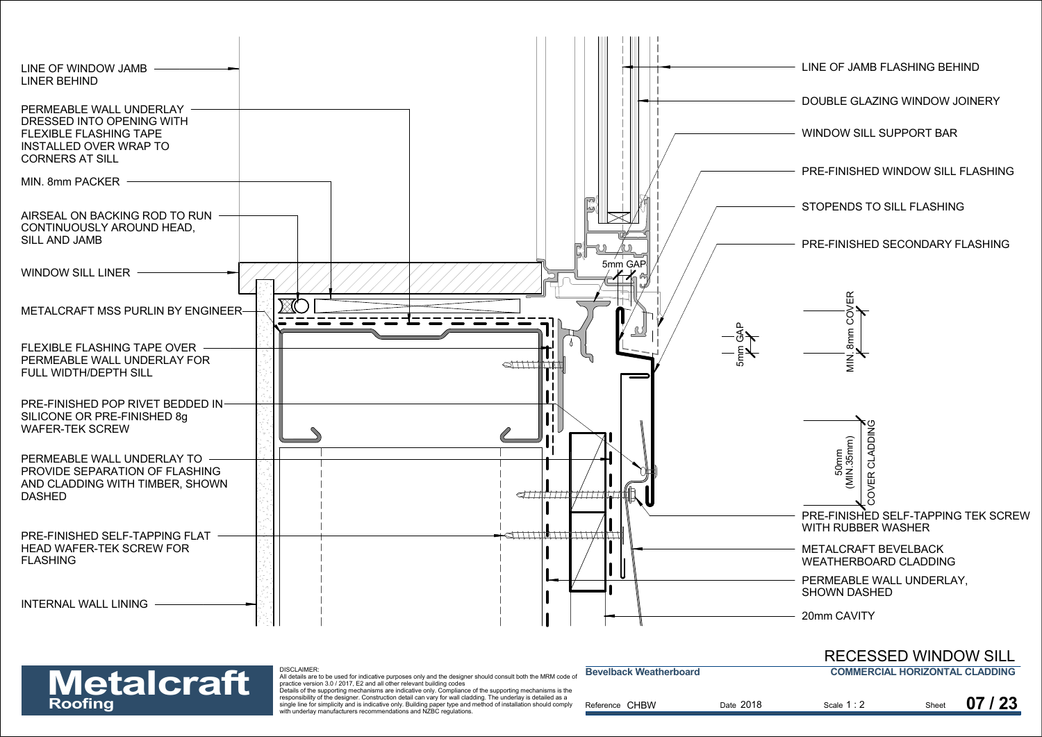



DISCLAIMER: All details are to be used for indicative purposes only and the designer should consult both the MRM code of practice version 3.0 / 2017, E2 and all other relevant building codes

| <b>Metalcraft</b><br>Roofing | <b>DISCLAIMER.</b><br>All details are to be used for indicative purposes only and the designer should consult both the MRM code of<br>practice version 3.0 / 2017. E2 and all other relevant building codes<br>Details of the supporting mechanisms are indicative only. Compliance of the supporting mechanisms is the<br>responsibility of the designer. Construction detail can vary for wall cladding. The underlay is detailed as a<br>single line for simplicity and is indicative only. Building paper type and method of installation should comply<br>with underlay manufacturers recommendations and NZBC regulations. | <b>Bevelback Weatherboard</b><br>Reference CHBW | Date 2018 | <b>COMMERCIAL HORIZONTAL CLADDING</b><br>Scale 1:2 | Sheet | 07/23 |
|------------------------------|----------------------------------------------------------------------------------------------------------------------------------------------------------------------------------------------------------------------------------------------------------------------------------------------------------------------------------------------------------------------------------------------------------------------------------------------------------------------------------------------------------------------------------------------------------------------------------------------------------------------------------|-------------------------------------------------|-----------|----------------------------------------------------|-------|-------|
|                              |                                                                                                                                                                                                                                                                                                                                                                                                                                                                                                                                                                                                                                  |                                                 |           |                                                    |       |       |

**Bevelback Weatherboard**

**COMMERCIAL HORIZONTAL CLADDING**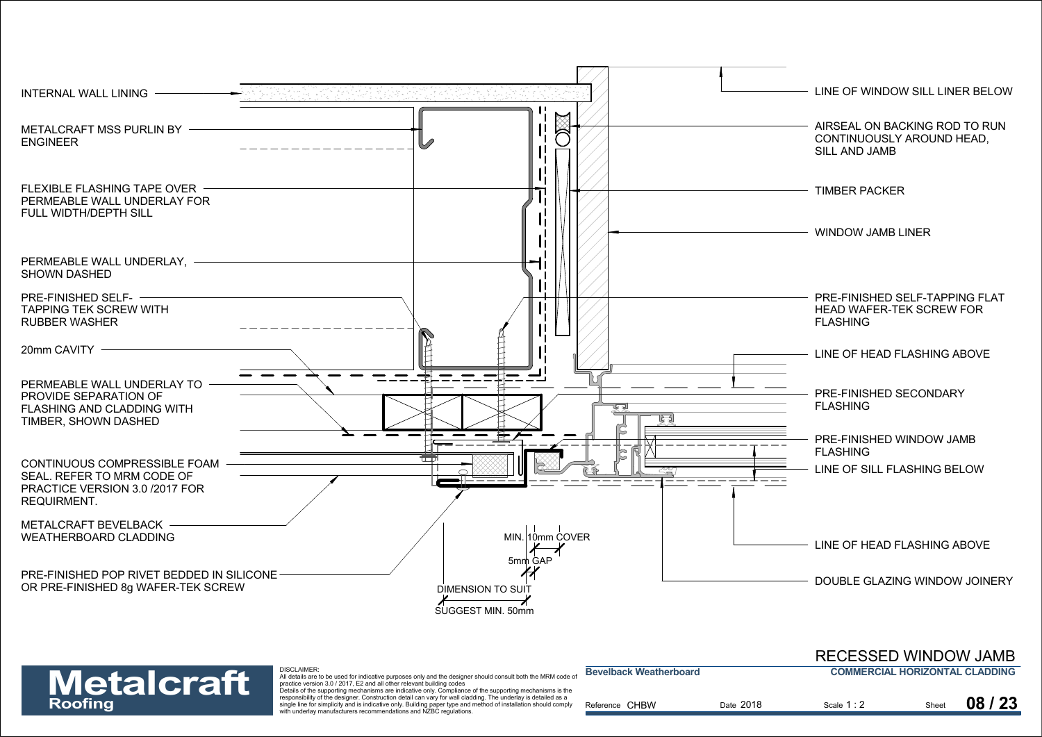



responsibility of the designer. Construction detail can vary for wall cladding. The underlay is detailed as a with underlay manufacturers recommendations and NZBC regulations.

| <b>RECESSED WINDOW JAMB</b>    |  |
|--------------------------------|--|
| COMMERCIAL HORIZONTAL CLADDING |  |

| <b>Metalcraft</b> | DISCLAIMER.<br>All details are to be used for indicative purposes only and the designer should consult both the MRM code of<br>practice version 3.0 / 2017. E2 and all other relevant building codes                                                                                                                                                                                                              | <b>Bevelback Weatherboard</b> |           | <b>COMMERCIAL HORIZONTAL CLADDING</b> |       |       |
|-------------------|-------------------------------------------------------------------------------------------------------------------------------------------------------------------------------------------------------------------------------------------------------------------------------------------------------------------------------------------------------------------------------------------------------------------|-------------------------------|-----------|---------------------------------------|-------|-------|
| Roofing           | Details of the supporting mechanisms are indicative only. Compliance of the supporting mechanisms is the<br>responsibility of the designer. Construction detail can vary for wall cladding. The underlay is detailed as a<br>single line for simplicity and is indicative only. Building paper type and method of installation should comply<br>with underlay manufacturers recommendations and NZBC requisitions | Reference CHBW                | Date 2018 | Scale 1:2                             | Sheet | 08/23 |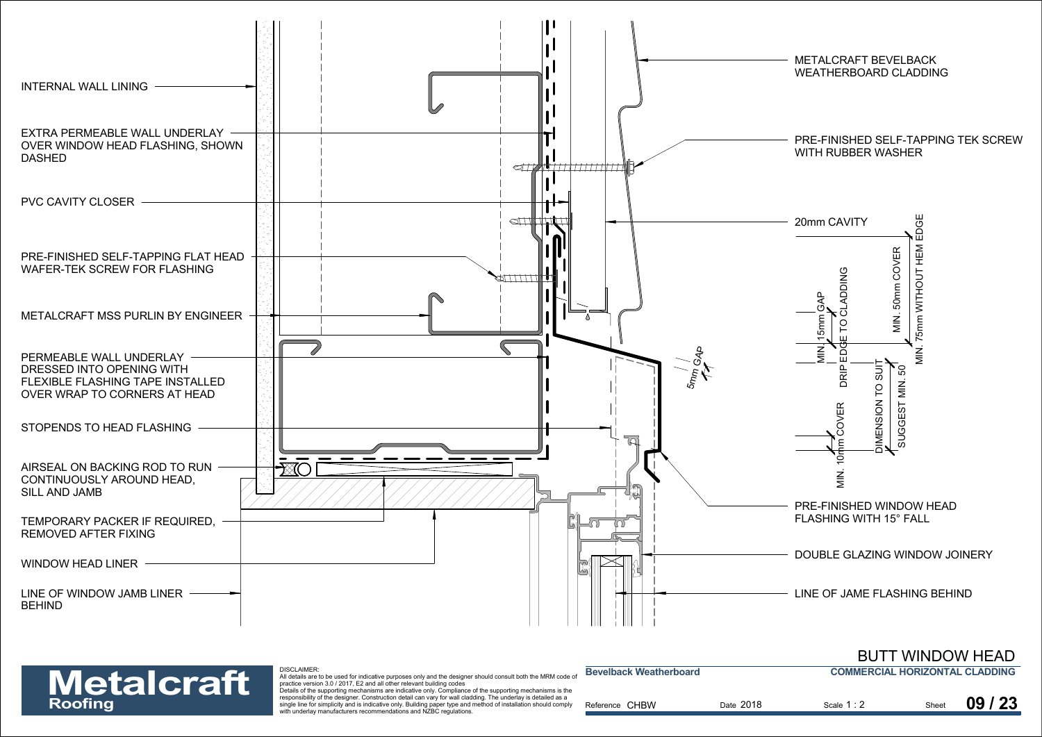

Reference

## **Metalcraft**

responsibility of the designer. Construction detail can vary for wall cladding. The underlay is detailed as a Expositionly of the designed. Constitution detail can vary for wall cladding, the underling soletailled as a<br>single line for simplicity and is indicative only. Building paper type and method of installation should comply R with underlay manufacturers recommendations and NZBC regulations.

|                   | DISCLAIMER:<br>All details are to be used for indicative purposes only and the designer should consult both the MRM code of                                                                                                      | <b>Bevelback Weatherboard</b> |           | <b>COMMERCIAL HORIZONTAL CLADDING</b> |       |
|-------------------|----------------------------------------------------------------------------------------------------------------------------------------------------------------------------------------------------------------------------------|-------------------------------|-----------|---------------------------------------|-------|
| <b>Metalcraft</b> | practice version 3.0 / 2017, E2 and all other relevant building codes<br>Details of the supporting mechanisms are indicative only. Compliance of the supporting mechanisms is the                                                |                               |           |                                       |       |
| Roofina           | responsibility of the designer. Construction detail can vary for wall cladding. The underlay is detailed as a<br>single line for simplicity and is indicative only. Building paper type and method of installation should comply | Reference CHBW                | Date 2018 | Scale 1:2                             | 09/23 |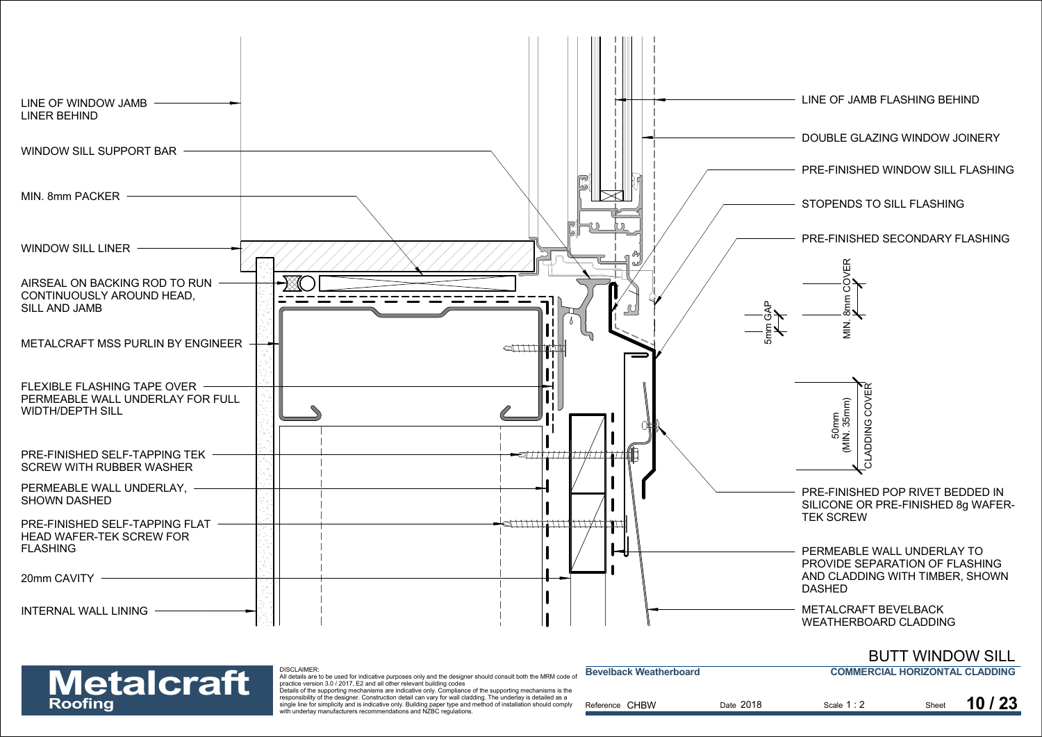

### **COMMERCIAL HORIZONTAL CLADDING**BUTT WINDOW SILL

| <b>Metalcraft</b> |  |
|-------------------|--|
| <b>Roofing</b>    |  |

| <b>Metalcraft</b> | DISCLAIMER:<br>All details are to be used for indicative purposes only and the designer should consult both the MRM code of<br>practice version 3.0 / 2017. E2 and all other relevant building codes                                                                                                                                                                                                              | <b>Bevelback Weatherboard</b> |           | <b>COMMERCIAL HORIZONTAL CLADDING</b> |       |       |
|-------------------|-------------------------------------------------------------------------------------------------------------------------------------------------------------------------------------------------------------------------------------------------------------------------------------------------------------------------------------------------------------------------------------------------------------------|-------------------------------|-----------|---------------------------------------|-------|-------|
| Roofing           | Details of the supporting mechanisms are indicative only. Compliance of the supporting mechanisms is the<br>responsibility of the designer. Construction detail can vary for wall cladding. The underlay is detailed as a<br>single line for simplicity and is indicative only. Building paper type and method of installation should comply<br>with underlay manufacturers recommendations and NZBC regulations. | Reference CHBW                | Date 2018 | Scale 1:2                             | Sheet | 10/23 |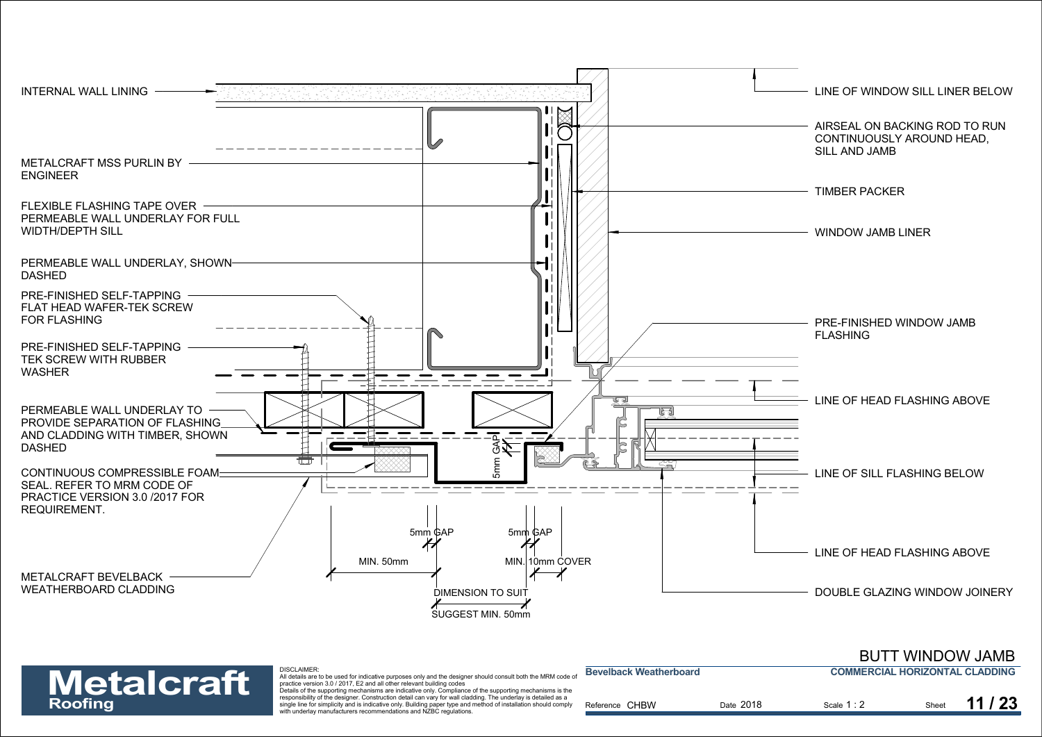



|                   | <b>DISCLAIMER:</b>                                                                                                                                                                   |                               |           |                                       |       |  |
|-------------------|--------------------------------------------------------------------------------------------------------------------------------------------------------------------------------------|-------------------------------|-----------|---------------------------------------|-------|--|
|                   | All details are to be used for indicative purposes only and the designer should consult both the MRM code of                                                                         | <b>Bevelback Weatherboard</b> |           | <b>COMMERCIAL HORIZONTAL CLADDING</b> |       |  |
| <b>Metalcraft</b> | practice version 3.0 / 2017. E2 and all other relevant building codes<br>Details of the supporting mechanisms are indicative only. Compliance of the supporting mechanisms is the    |                               |           |                                       |       |  |
|                   | responsibility of the designer. Construction detail can vary for wall cladding. The underlay is detailed as a                                                                        |                               |           |                                       |       |  |
| Roofing           | single line for simplicity and is indicative only. Building paper type and method of installation should comply<br>with underlay manufacturers recommendations and NZBC regulations. | Reference CHBW                | Date 2018 | Scale 1:2                             | Sheet |  |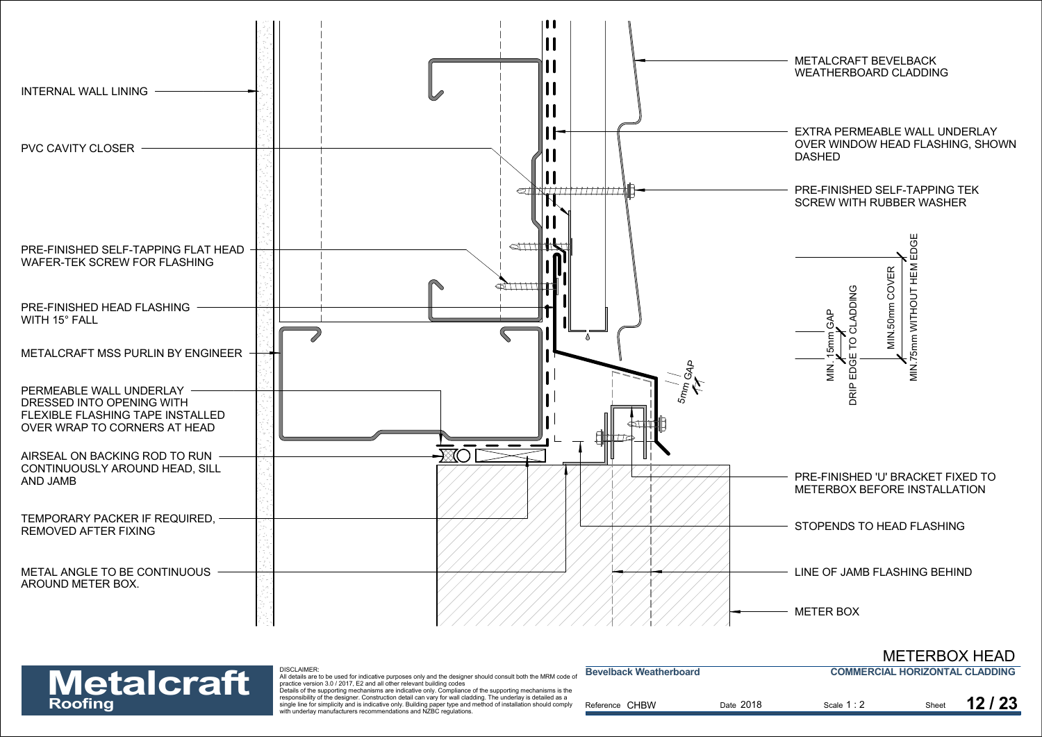



| <b>Metalcraft</b> | DISCLAIMER.<br>All details are to be used for indicative purposes only and the designer should consult both the MRM code of<br>practice version 3.0 / 2017. E2 and all other relevant building codes                                                                                                                                                                                                              | <b>Bevelback Weatherboard</b> |           | <b>COMMERCIAL HORIZONTAL CLADDING</b> |       |       |
|-------------------|-------------------------------------------------------------------------------------------------------------------------------------------------------------------------------------------------------------------------------------------------------------------------------------------------------------------------------------------------------------------------------------------------------------------|-------------------------------|-----------|---------------------------------------|-------|-------|
| <b>Roofing</b>    | Details of the supporting mechanisms are indicative only. Compliance of the supporting mechanisms is the<br>responsibility of the designer. Construction detail can vary for wall cladding. The underlay is detailed as a<br>single line for simplicity and is indicative only. Building paper type and method of installation should comply<br>with underlay manufacturers recommendations and NZBC regulations. | Reference CHBW                | Date 2018 | Scale 1 : 2                           | Sheet | 12/23 |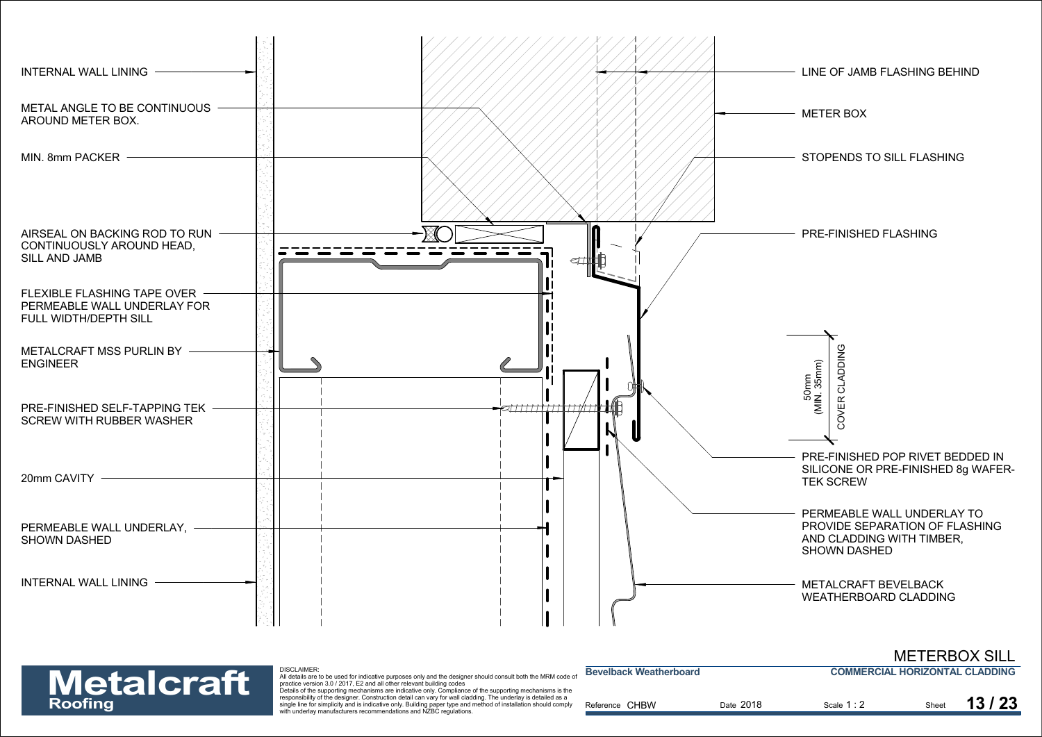

| <b>Metalcraft</b> | <b>DISCLAIMER</b><br>All details are to be used for indicative purposes only and the designer should consult both the MRM code of<br>practice version 3.0 / 2017. E2 and all other relevant building codes                                                                                                                                                                                                        | <b>Bevelback Weatherboard</b> |           | <b>COMMERCIAL HORIZONTAL CLADDING</b> |       |       |
|-------------------|-------------------------------------------------------------------------------------------------------------------------------------------------------------------------------------------------------------------------------------------------------------------------------------------------------------------------------------------------------------------------------------------------------------------|-------------------------------|-----------|---------------------------------------|-------|-------|
| Roofing           | Details of the supporting mechanisms are indicative only. Compliance of the supporting mechanisms is the<br>responsibility of the designer. Construction detail can vary for wall cladding. The underlay is detailed as a<br>single line for simplicity and is indicative only. Building paper type and method of installation should comply<br>with underlay manufacturers recommendations and NZBC regulations. | Reference CHBW                | Date 2018 | Scale 1:2                             | Sheet | 13/23 |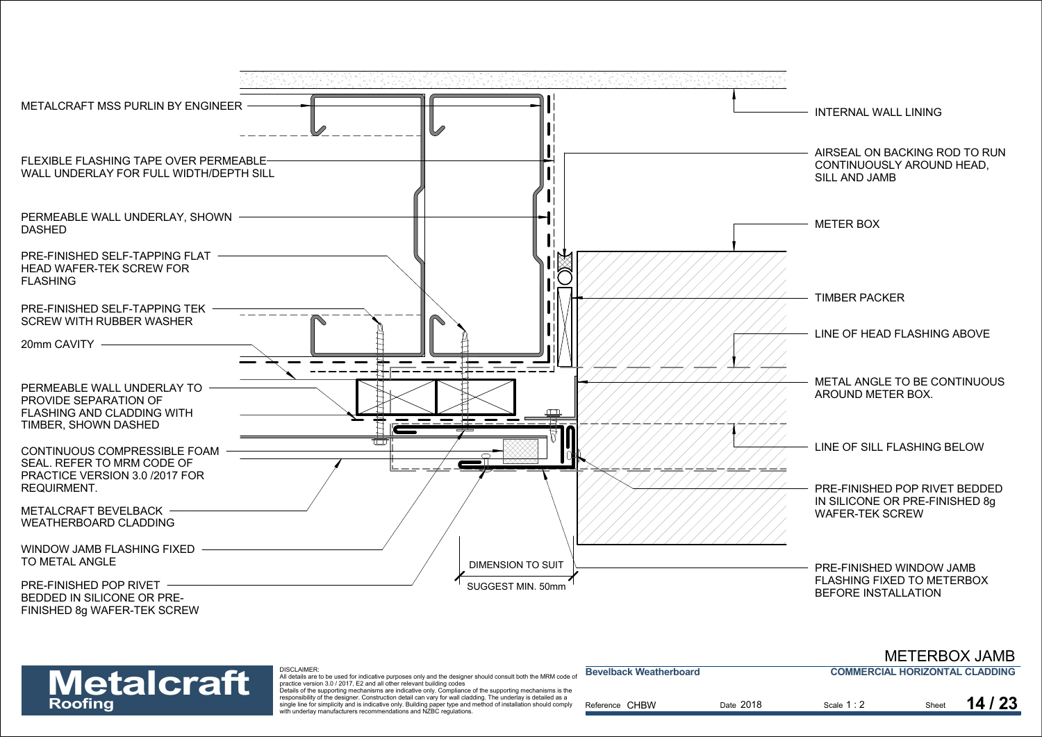



| <b>Metalcraft</b> | <b>DISCLAIMER:</b><br>All details are to be used for indicative purposes only and the designer should consult both the MRM code of<br>practice version 3.0 / 2017. E2 and all other relevant building codes                                                                                                                                                                                                       | <b>Bevelback Weatherboard</b> |           | <b>COMMERCIAL HORIZONTAL CLADDING</b> |       |       |
|-------------------|-------------------------------------------------------------------------------------------------------------------------------------------------------------------------------------------------------------------------------------------------------------------------------------------------------------------------------------------------------------------------------------------------------------------|-------------------------------|-----------|---------------------------------------|-------|-------|
| Roofing           | Details of the supporting mechanisms are indicative only. Compliance of the supporting mechanisms is the<br>responsibility of the designer. Construction detail can vary for wall cladding. The underlay is detailed as a<br>single line for simplicity and is indicative only. Building paper type and method of installation should comply<br>with underlay manufacturers recommendations and NZBC regulations. | Reference CHBW                | Date 2018 | Scale 1:2                             | Sheet | 14/23 |

METERBOX JAMB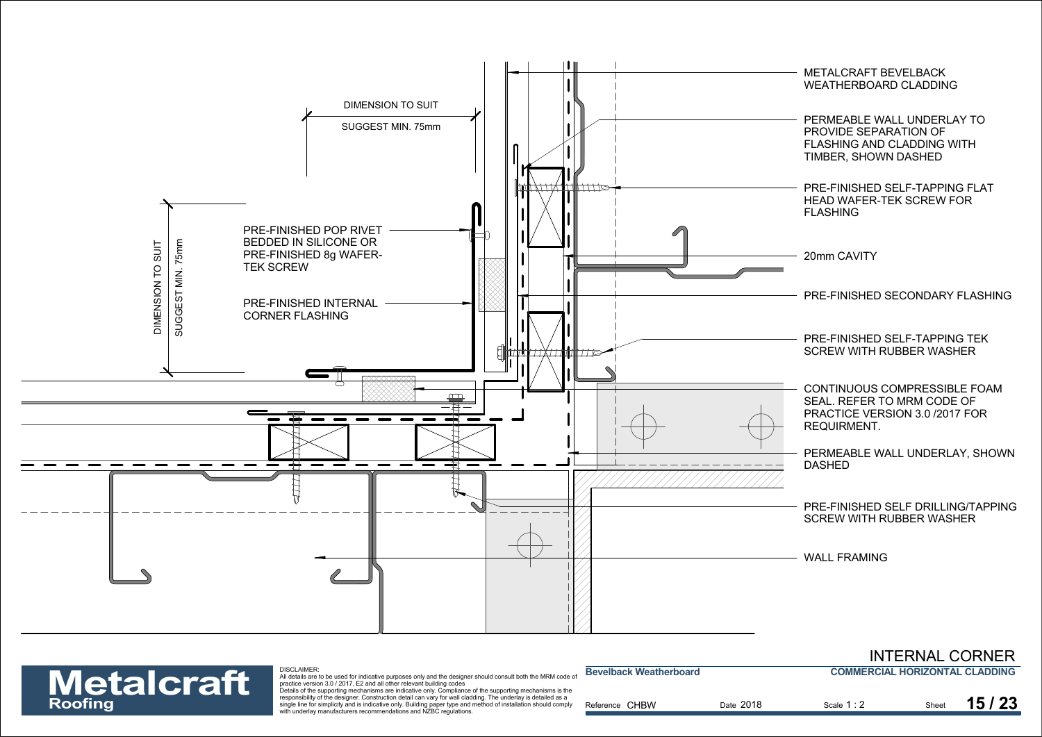



| <b>Metalcraft</b> | DISCLAIMER.<br>All details are to be used for indicative purposes only and the designer should consult both the MRM code of<br>practice version 3.0 / 2017. E2 and all other relevant building codes                                                                                                                                                                                                              | <b>Bevelback Weatherboard</b> |           | <b>COMMERCIAL HORIZONTAL CLADDING</b> |       |
|-------------------|-------------------------------------------------------------------------------------------------------------------------------------------------------------------------------------------------------------------------------------------------------------------------------------------------------------------------------------------------------------------------------------------------------------------|-------------------------------|-----------|---------------------------------------|-------|
| Roofing           | Details of the supporting mechanisms are indicative only. Compliance of the supporting mechanisms is the<br>responsibility of the designer. Construction detail can vary for wall cladding. The underlay is detailed as a<br>single line for simplicity and is indicative only. Building paper type and method of installation should comply<br>with underlay manufacturers recommendations and NZBC regulations. | Reference CHBW                | Date 2018 | Scale 1:2                             | 15/23 |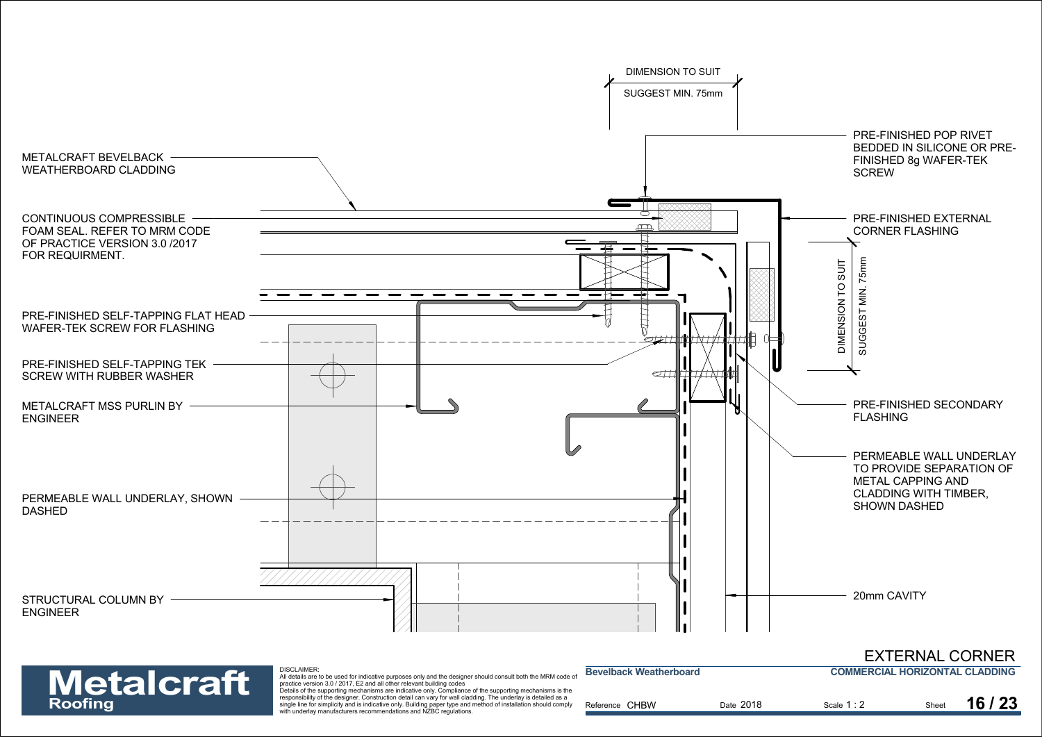

| <b>Metalcraft</b> | <b>DISCLAIMER:</b><br>All details are to be used for indicative purposes only and the designer should consult both the MRM code of<br>practice version 3.0 / 2017, E2 and all other relevant building codes<br>Details of the supporting mechanisms are indicative only. Compliance of the supporting mechanisms is the | <b>Bevelback Weatherboard</b> |           | <b>COMMERCIAL HORIZONTAL CLADDING</b> |       |         |
|-------------------|-------------------------------------------------------------------------------------------------------------------------------------------------------------------------------------------------------------------------------------------------------------------------------------------------------------------------|-------------------------------|-----------|---------------------------------------|-------|---------|
| Roofing           | responsibility of the designer. Construction detail can vary for wall cladding. The underlay is detailed as a<br>single line for simplicity and is indicative only. Building paper type and method of installation should comply<br>with underlay manufacturers recommendations and NZBC regulations.                   | Reference CHBW                | Date 2018 | Scale 1:2                             | Sheet | 16 / 23 |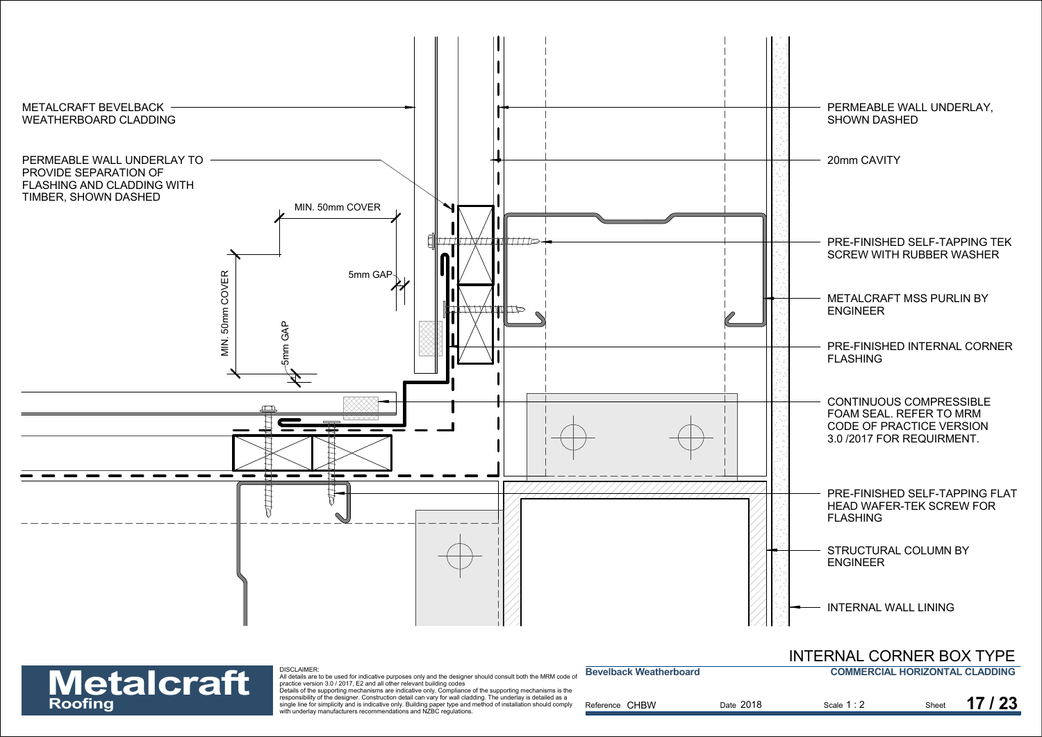

Exponsioning of the designed. Construction detail can vary for wall cadding, the underlay is detailed as a<br>single line for simplicity and is indicative only. Building paper type and method of installation should comply<br>**Ro** 

|                   | DISCLAIMER:<br>All details are to be used for indicative purposes only and the designer should consult both the MRM code of                                                                                                      | <b>Bevelback Weatherboard</b> |           | <b>COMMERCIAL HORIZONTAL CLADDING</b> |       |       |
|-------------------|----------------------------------------------------------------------------------------------------------------------------------------------------------------------------------------------------------------------------------|-------------------------------|-----------|---------------------------------------|-------|-------|
| <b>Metalcraft</b> | practice version 3.0 / 2017. E2 and all other relevant building codes<br>Details of the supporting mechanisms are indicative only. Compliance of the supporting mechanisms is the                                                |                               |           |                                       |       |       |
| Roofing           | responsibility of the designer. Construction detail can vary for wall cladding. The underlay is detailed as a<br>single line for simplicity and is indicative only. Building paper type and method of installation should comply | Reference CHBW                | Date 2018 | Scale 1:2                             | Sheet | 17/23 |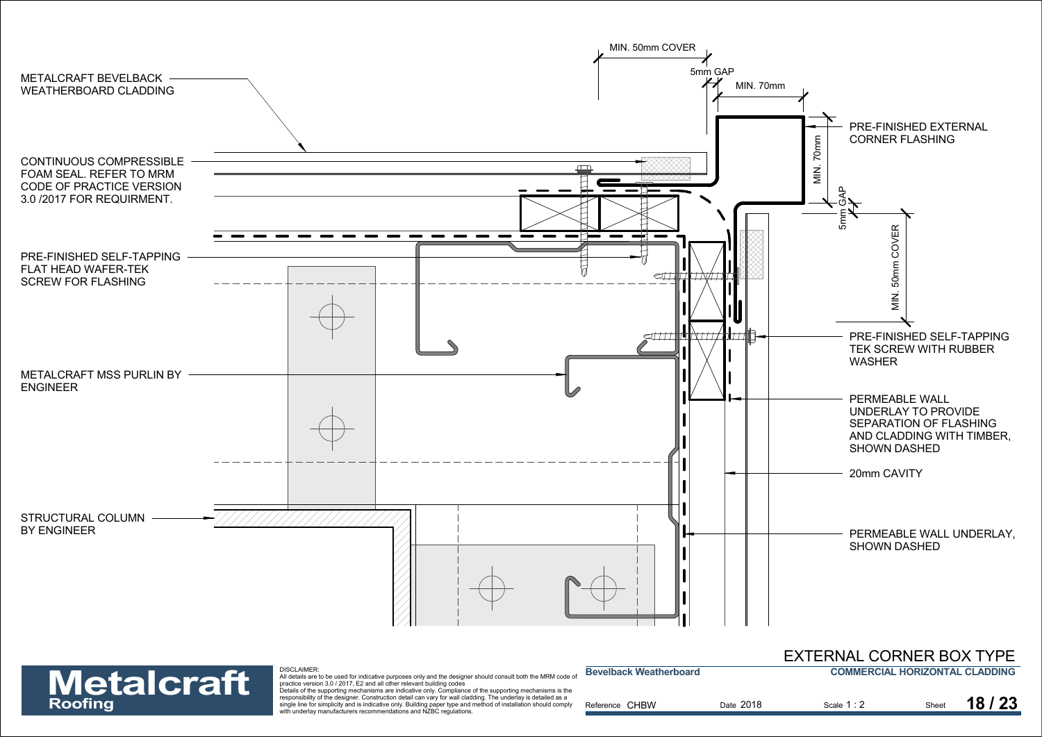



| EXTERNAL CORNER BOX TYPE       |
|--------------------------------|
| COMMERCIAL HORIZONTAL CLADDING |

| <b>Metalcraft</b> | DISCLAIMER.<br>All details are to be used for indicative purposes only and the designer should consult both the MRM code of<br>practice version 3.0 / 2017. E2 and all other relevant building codes                                                                                                                                                                                                              | <b>Bevelback Weatherboard</b> |           | <b>COMMERCIAL HORIZONTAL CLADDING</b> |       |       |
|-------------------|-------------------------------------------------------------------------------------------------------------------------------------------------------------------------------------------------------------------------------------------------------------------------------------------------------------------------------------------------------------------------------------------------------------------|-------------------------------|-----------|---------------------------------------|-------|-------|
| Roofing           | Details of the supporting mechanisms are indicative only. Compliance of the supporting mechanisms is the<br>responsibility of the designer. Construction detail can vary for wall cladding. The underlay is detailed as a<br>single line for simplicity and is indicative only. Building paper type and method of installation should comply<br>with underlay manufacturers recommendations and NZBC regulations. | Reference CHBW                | Date 2018 | Scale 1:2                             | Sheet | 18/23 |

**Bevelback Weatherboard**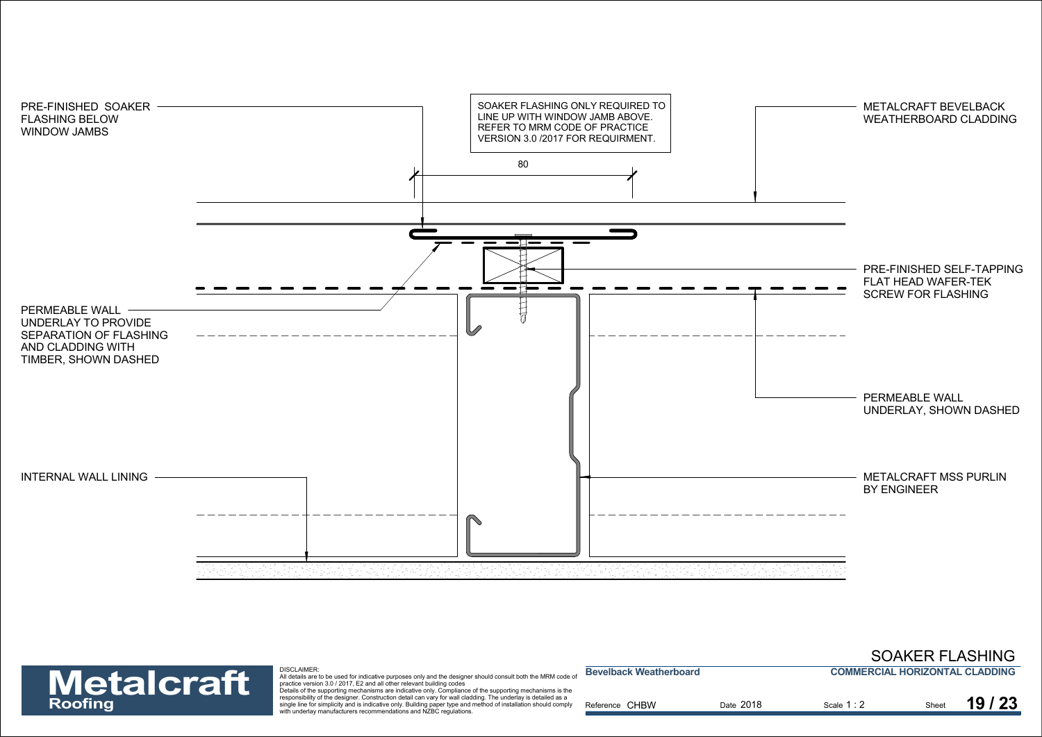



| <b>Metalcraft</b> | <b>DISCLAIMER:</b><br>All details are to be used for indicative purposes only and the designer should consult both the MRM code of<br>practice version 3.0 / 2017, E2 and all other relevant building codes                                                                                                                                                                                                       | <b>Bevelback Weatherboard</b> |           | <b>COMMERCIAL HORIZONTAL CLADDING</b> |       |       |
|-------------------|-------------------------------------------------------------------------------------------------------------------------------------------------------------------------------------------------------------------------------------------------------------------------------------------------------------------------------------------------------------------------------------------------------------------|-------------------------------|-----------|---------------------------------------|-------|-------|
| Roofing           | Details of the supporting mechanisms are indicative only. Compliance of the supporting mechanisms is the<br>responsibility of the designer. Construction detail can vary for wall cladding. The underlay is detailed as a<br>single line for simplicity and is indicative only. Building paper type and method of installation should comply<br>with underlay manufacturers recommendations and NZBC regulations. | Reference CHBW                | Date 2018 | Scale 1:2                             | Sheet | 19/23 |

SOAKER FLASHING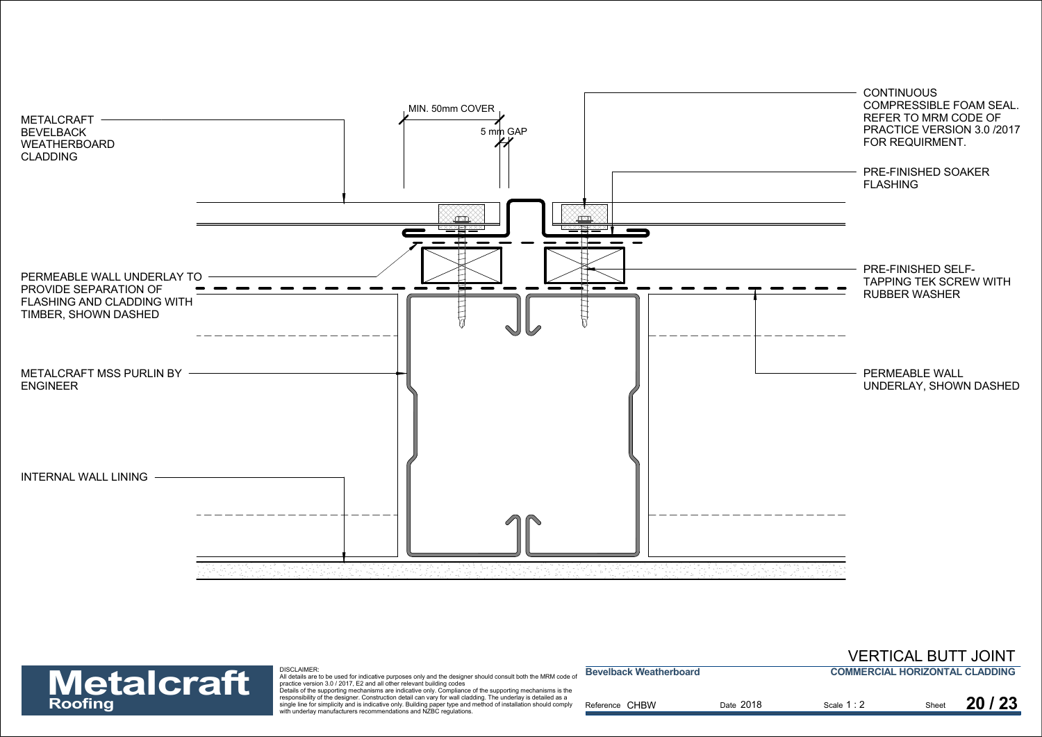



| <b>Metalcraft</b> | <b>DISCLAIMER:</b><br>All details are to be used for indicative purposes only and the designer should consult both the MRM code of<br>practice version 3.0 / 2017. E2 and all other relevant building codes                                                                                                                                                                                                       | <b>Bevelback Weatherboard</b> |           | <b>COMMERCIAL HORIZONTAL CLADDING</b> |       |       |
|-------------------|-------------------------------------------------------------------------------------------------------------------------------------------------------------------------------------------------------------------------------------------------------------------------------------------------------------------------------------------------------------------------------------------------------------------|-------------------------------|-----------|---------------------------------------|-------|-------|
| Roofing           | Details of the supporting mechanisms are indicative only. Compliance of the supporting mechanisms is the<br>responsibility of the designer. Construction detail can vary for wall cladding. The underlay is detailed as a<br>single line for simplicity and is indicative only. Building paper type and method of installation should comply<br>with underlay manufacturers recommendations and NZBC regulations. | Reference CHBW                | Date 2018 | Scale 1 : 2                           | Sheet | 20/23 |

VERTICAL BUTT JOINT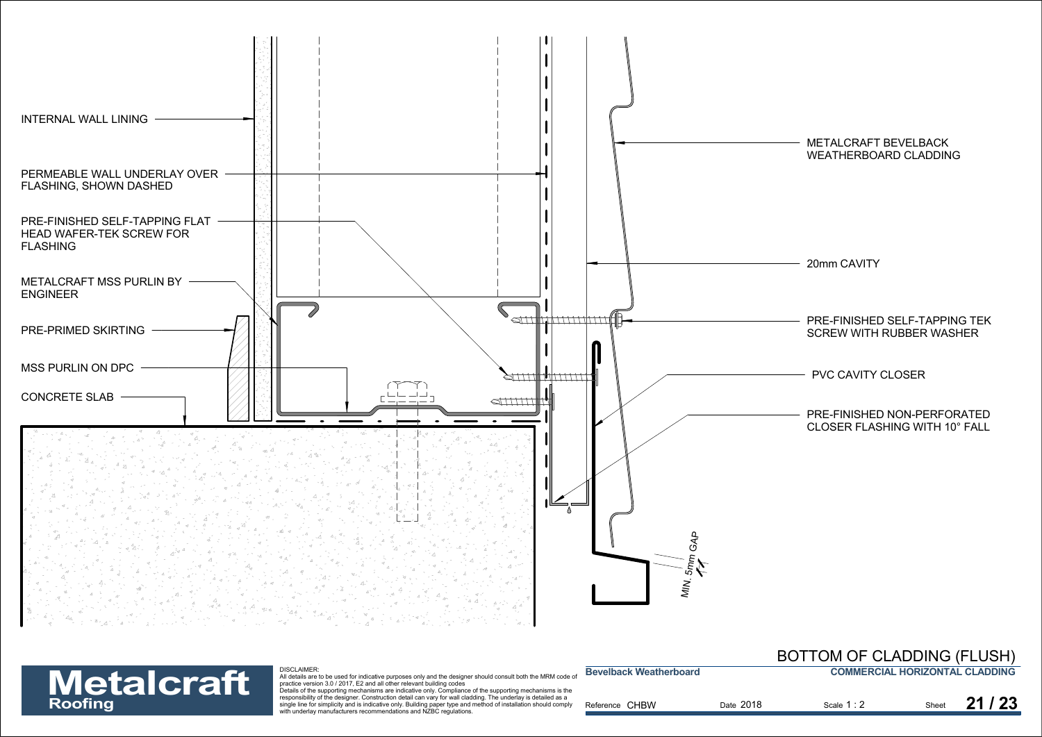

Exponsioning of the designed. Construction detail can vary for wall cadding, the underlay is detailed as a<br>single line for simplicity and is indicative only. Building paper type and method of installation should comply<br>**Ro** 

| <b>Metalcraft</b> | DISCLAIMER:<br>All details are to be used for indicative purposes only and the designer should consult both the MRM code of                                                                                                      | <b>Bevelback Weatherboard</b> |           | <b>COMMERCIAL HORIZONTAL CLADDING</b> |       |
|-------------------|----------------------------------------------------------------------------------------------------------------------------------------------------------------------------------------------------------------------------------|-------------------------------|-----------|---------------------------------------|-------|
|                   | practice version 3.0 / 2017. E2 and all other relevant building codes<br>Details of the supporting mechanisms are indicative only. Compliance of the supporting mechanisms is the                                                |                               |           |                                       |       |
| Roofing           | responsibility of the designer. Construction detail can vary for wall cladding. The underlay is detailed as a<br>single line for simplicity and is indicative only. Building paper type and method of installation should comply | Reference CHBW                | Date 2018 | Scale 1:2                             | 21/23 |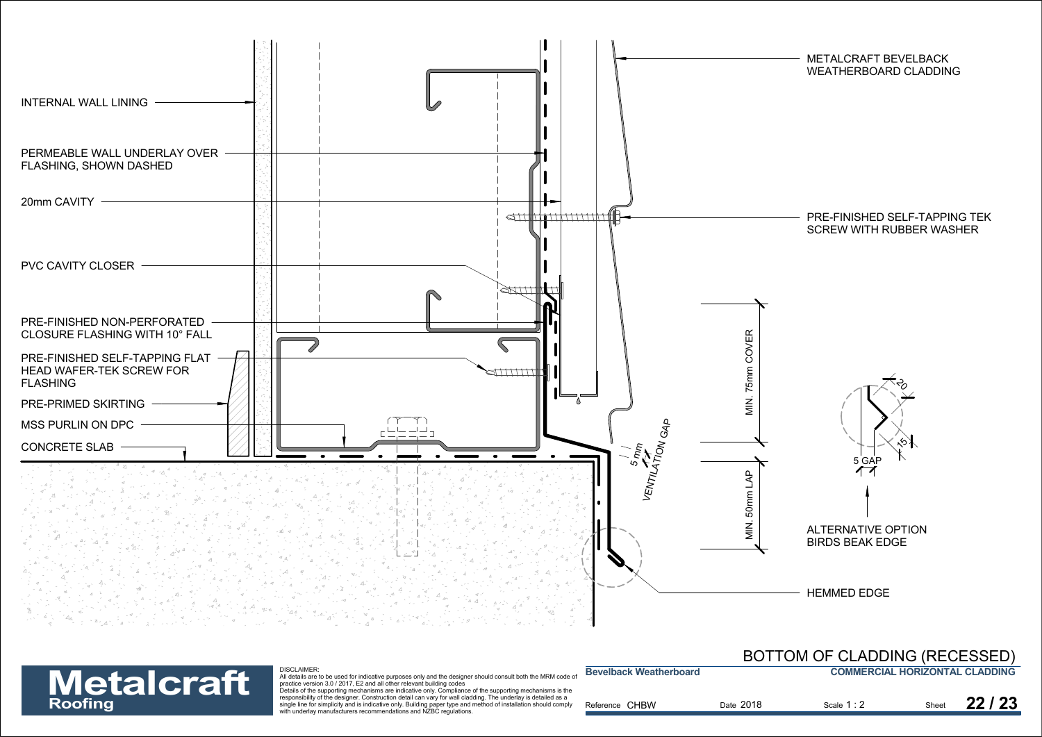



|                   | DISCLAIMER:<br>All details are to be used for indicative purposes only and the designer should consult both the MRM code of                                                                                                                                                                           | <b>Bevelback Weatherboard</b> |           | <b>COMMERCIAL HORIZONTAL CLADDING</b> |       |       |
|-------------------|-------------------------------------------------------------------------------------------------------------------------------------------------------------------------------------------------------------------------------------------------------------------------------------------------------|-------------------------------|-----------|---------------------------------------|-------|-------|
| <b>Metalcraft</b> | practice version 3.0 / 2017. E2 and all other relevant building codes<br>Details of the supporting mechanisms are indicative only. Compliance of the supporting mechanisms is the                                                                                                                     |                               |           |                                       |       |       |
| Roofing           | responsibility of the designer. Construction detail can vary for wall cladding. The underlay is detailed as a<br>single line for simplicity and is indicative only. Building paper type and method of installation should comply<br>with underlay manufacturers recommendations and NZBC regulations. | Reference CHBW                | Date 2018 | Scale 1 : 2                           | Sheet | 22/23 |
|                   |                                                                                                                                                                                                                                                                                                       |                               |           |                                       |       |       |